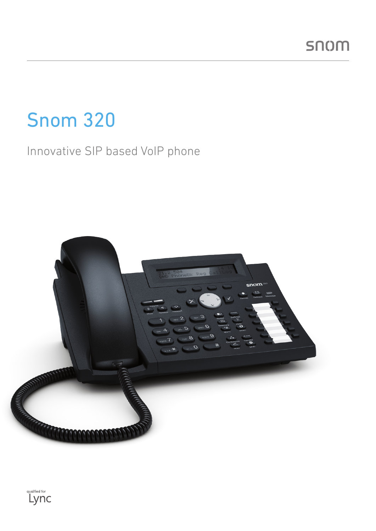# Snom 320

# Innovative SIP based VoIP phone



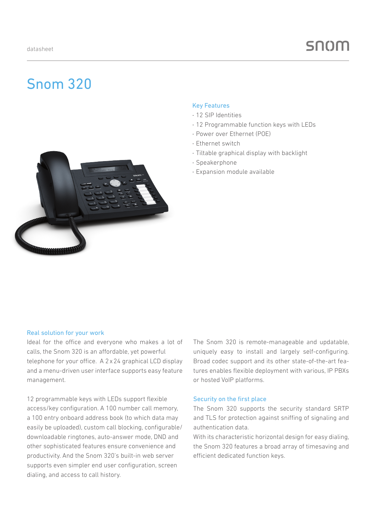# Snom 320

#### Key Features

- · 12 SIP Identities
- · 12 Programmable function keys with LEDs
- · Power over Ethernet (POE)
- · Ethernet switch
- · Tiltable graphical display with backlight
- · Speakerphone
- · Expansion module available



Ideal for the office and everyone who makes a lot of calls, the Snom 320 is an affordable, yet powerful telephone for your office. A 2x24 graphical LCD display and a menu-driven user interface supports easy feature management.

12 programmable keys with LEDs support flexible access/key configuration. A 100 number call memory, a 100 entry onboard address book (to which data may easily be uploaded), custom call blocking, configurable/ downloadable ringtones, auto-answer mode, DND and other sophisticated features ensure convenience and productivity. And the Snom 320's built-in web server supports even simpler end user configuration, screen dialing, and access to call history.

The Snom 320 is remote-manageable and updatable, uniquely easy to install and largely self-configuring. Broad codec support and its other state-of-the-art features enables flexible deployment with various, IP PBXs or hosted VoIP platforms.

#### Security on the first place

The Snom 320 supports the security standard SRTP and TLS for protection against sniffing of signaling and authentication data.

With its characteristic horizontal design for easy dialing, the Snom 320 features a broad array of timesaving and efficient dedicated function keys.

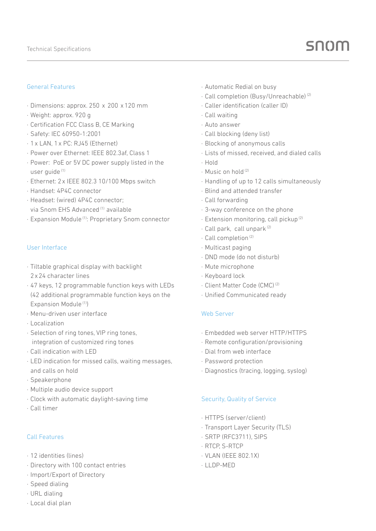#### General Features

- · Dimensions: approx. 250 x 200 x120 mm
- · Weight: approx. 920 g
- · Certification FCC Class B, CE Marking
- · Safety: IEC 60950-1:2001
- · 1x LAN, 1x PC: RJ45 (Ethernet)
- · Power over Ethernet: IEEE 802.3af, Class 1
- · Power: PoE or 5V DC power supply listed in the user guide (1)
- · Ethernet: 2x IEEE 802.3 10/100 Mbps switch
- · Handset: 4P4C connector
- · Headset: (wired) 4P4C connector; via Snom EHS Advanced<sup>(1)</sup> available
- · Expansion Module (1): Proprietary Snom connector

#### User Interface

- · Tiltable graphical display with backlight 2x24 character lines
- · 47 keys, 12 programmable function keys with LEDs (42 additional programmable function keys on the Expansion Module<sup>(1)</sup>)
- · Menu-driven user interface
- · Localization
- · Selection of ring tones, VIP ring tones, integration of customized ring tones
- · Call indication with LED
- · LED indication for missed calls, waiting messages, and calls on hold
- · Speakerphone
- · Multiple audio device support
- · Clock with automatic daylight-saving time
- · Call timer

## Call Features

- · 12 identities (lines)
- · Directory with 100 contact entries
- · Import/Export of Directory
- · Speed dialing
- · URL dialing
- · Local dial plan
- · Automatic Redial on busy
- · Call completion (Busy/Unreachable) (2)
- · Caller identification (caller ID)
- · Call waiting
- · Auto answer
- · Call blocking (deny list)
- · Blocking of anonymous calls
- · Lists of missed, received, and dialed calls
- · Hold
- · Music on hold (2)
- · Handling of up to 12 calls simultaneously
- · Blind and attended transfer
- · Call forwarding
- · 3-way conference on the phone
- · Extension monitoring, call pickup (2)
- · Call park, call unpark (2)
- · Call completion (2)
- · Multicast paging
- · DND mode (do not disturb)
- · Mute microphone
- · Keyboard lock
- · Client Matter Code (CMC) (2)
- · Unified Communicated ready

## Web Server

- · Embedded web server HTTP/HTTPS
- · Remote configuration/provisioning
- · Dial from web interface
- · Password protection
- · Diagnostics (tracing, logging, syslog)

## Security, Quality of Service

- · HTTPS (server/client)
- · Transport Layer Security (TLS)
- · SRTP (RFC3711), SIPS
- · RTCP, S-RTCP
- · VLAN (IEEE 802.1X)
- · LLDP-MED